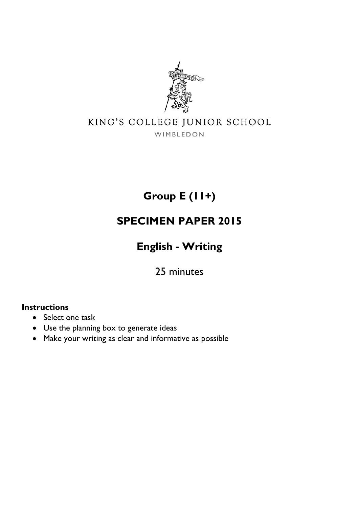

# KING'S COLLEGE JUNIOR SCHOOL

WIMBLEDON

**Group E (11+)** 

# **SPECIMEN PAPER 2015**

**English - Writing** 

25 minutes

#### **Instructions**

- Select one task
- Use the planning box to generate ideas
- Make your writing as clear and informative as possible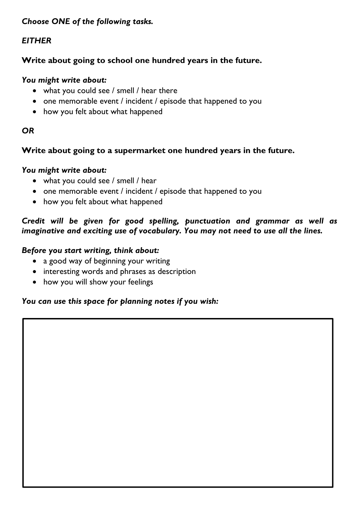# *Choose ONE of the following tasks.*

# *EITHER*

# **Write about going to school one hundred years in the future.**

#### *You might write about:*

- what you could see / smell / hear there
- one memorable event / incident / episode that happened to you
- how you felt about what happened

# *OR*

# **Write about going to a supermarket one hundred years in the future.**

#### *You might write about:*

- what you could see / smell / hear
- one memorable event / incident / episode that happened to you
- how you felt about what happened

# *Credit will be given for good spelling, punctuation and grammar as well as imaginative and exciting use of vocabulary. You may not need to use all the lines.*

#### *Before you start writing, think about:*

- a good way of beginning your writing
- interesting words and phrases as description
- how you will show your feelings

# *You can use this space for planning notes if you wish:*